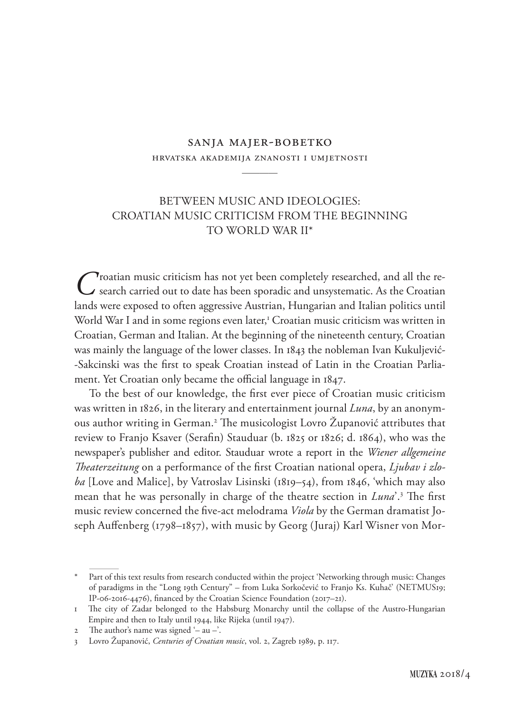## sanja majer-bobetko hrvatska akademija znanosti i umjetnosti

————

## BETWEEN MUSIC AND IDEOLOGIES: CROATIAN MUSIC CRITICISM FROM THE BEGINNING TO WORLD WAR II\*

**C**roatian music criticism has not yet been completely researched, and all the research carried out to date has been sporadic and unsystematic. As the Croatian lands were exposed to often aggressive Austrian, Hungarian and Italian politics until World War I and in some regions even later,<sup>1</sup> Croatian music criticism was written in Croatian, German and Italian. At the beginning of the nineteenth century, Croatian was mainly the language of the lower classes. In 1843 the nobleman Ivan Kukuljević- -Sakcinski was the first to speak Croatian instead of Latin in the Croatian Parliament. Yet Croatian only became the official language in 1847.

To the best of our knowledge, the first ever piece of Croatian music criticism was written in 1826, in the literary and entertainment journal *Luna*, by an anonymous author writing in German.2 The musicologist Lovro Županović attributes that review to Franjo Ksaver (Serafin) Stauduar (b. 1825 or 1826; d. 1864), who was the newspaper's publisher and editor. Stauduar wrote a report in the *Wiener allgemeine Theaterzeitung* on a performance of the first Croatian national opera, *Ljubav i zloba* [Love and Malice], by Vatroslav Lisinski (1819–54), from 1846, 'which may also mean that he was personally in charge of the theatre section in *Luna*'.3 The first music review concerned the five-act melodrama *Viola* by the German dramatist Joseph Auffenberg (1798–1857), with music by Georg (Juraj) Karl Wisner von Mor-

<sup>\*</sup> Part of this text results from research conducted within the project 'Networking through music: Changes of paradigms in the "Long 19th Century" – from Luka Sorkočević to Franjo Ks. Kuhač' (NETMUS19; IP-06-2016-4476), financed by the Croatian Science Foundation (2017–21).

<sup>1</sup> The city of Zadar belonged to the Habsburg Monarchy until the collapse of the Austro-Hungarian Empire and then to Italy until 1944, like Rijeka (until 1947).

<sup>2</sup> The author's name was signed '– au –'.

<sup>3</sup> Lovro Županović, *Centuries of Croatian music*, vol. 2, Zagreb 1989, p. 117.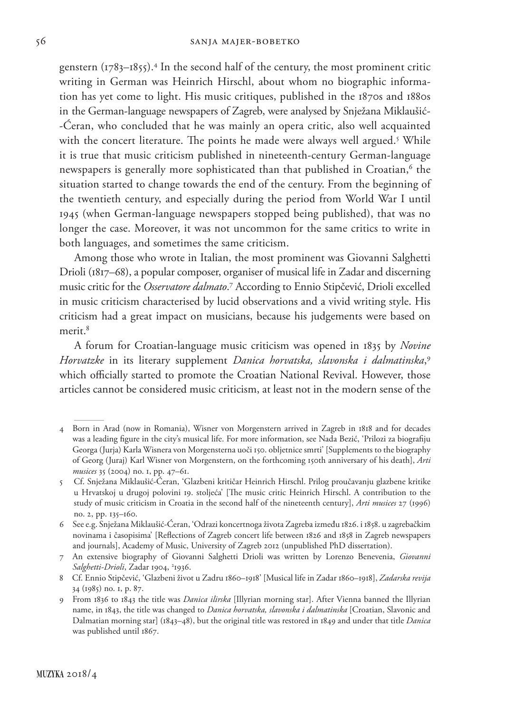genstern (1783–1855).4 In the second half of the century, the most prominent critic writing in German was Heinrich Hirschl, about whom no biographic information has yet come to light. His music critiques, published in the 1870s and 1880s in the German-language newspapers of Zagreb, were analysed by Snježana Miklaušić- -Ćeran, who concluded that he was mainly an opera critic, also well acquainted with the concert literature. The points he made were always well argued.<sup>5</sup> While it is true that music criticism published in nineteenth-century German-language newspapers is generally more sophisticated than that published in Croatian,<sup>6</sup> the situation started to change towards the end of the century. From the beginning of the twentieth century, and especially during the period from World War I until 1945 (when German-language newspapers stopped being published), that was no longer the case. Moreover, it was not uncommon for the same critics to write in both languages, and sometimes the same criticism.

Among those who wrote in Italian, the most prominent was Giovanni Salghetti Drioli (1817–68), a popular composer, organiser of musical life in Zadar and discerning music critic for the *Osservatore dalmato*.<sup>7</sup> According to Ennio Stipčević, Drioli excelled in music criticism characterised by lucid observations and a vivid writing style. His criticism had a great impact on musicians, because his judgements were based on merit.<sup>8</sup>

A forum for Croatian-language music criticism was opened in 1835 by *Novine Horvatzke* in its literary supplement *Danica horvatska, slavonska i dalmatinska*, 9 which officially started to promote the Croatian National Revival. However, those articles cannot be considered music criticism, at least not in the modern sense of the

<sup>4</sup> Born in Arad (now in Romania), Wisner von Morgenstern arrived in Zagreb in 1818 and for decades was a leading figure in the city's musical life. For more information, see Nada Bezić, 'Prilozi za biografiju Georga (Jurja) Karla Wisnera von Morgensterna uoči 150. obljetnice smrti' [Supplements to the biography of Georg (Juraj) Karl Wisner von Morgenstern, on the forthcoming 150th anniversary of his death], *Arti musices* 35 (2004) no. 1, pp. 47–61.

<sup>5</sup> Cf. Snježana Miklaušić-Ćeran, 'Glazbeni kritičar Heinrich Hirschl. Prilog proučavanju glazbene kritike u Hrvatskoj u drugoj polovini 19. stoljeća' [The music critic Heinrich Hirschl. A contribution to the study of music criticism in Croatia in the second half of the nineteenth century], *Arti musices* 27 (1996) no. 2, pp. 135–160.

<sup>6</sup> See e.g. Snježana Miklaušić-Ćeran, 'Odrazi koncertnoga života Zagreba između 1826. i 1858. u zagrebačkim novinama i časopisima' [Reflections of Zagreb concert life between 1826 and 1858 in Zagreb newspapers and journals], Academy of Music, University of Zagreb 2012 (unpublished PhD dissertation).

<sup>7</sup> An extensive biography of Giovanni Salghetti Drioli was written by Lorenzo Benevenia, *Giovanni*  Salghetti-Drioli, Zadar 1904, <sup>2</sup>1936.

<sup>8</sup> Cf. Ennio Stipčević, 'Glazbeni život u Zadru 1860–1918' [Musical life in Zadar 1860–1918], *Zadarska revija* 34 (1985) no. 1, p. 87.

<sup>9</sup> From 1836 to 1843 the title was *Danica ilirska* [Illyrian morning star]. After Vienna banned the Illyrian name, in 1843, the title was changed to *Danica horvatska, slavonska i dalmatinska* [Croatian, Slavonic and Dalmatian morning star] (1843–48), but the original title was restored in 1849 and under that title *Danica* was published until 1867.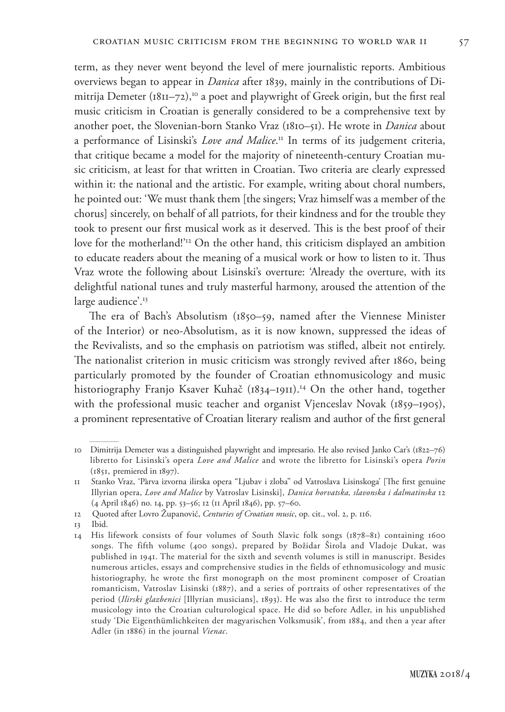term, as they never went beyond the level of mere journalistic reports. Ambitious overviews began to appear in *Danica* after 1839, mainly in the contributions of Dimitrija Demeter  $(1811-72)$ ,<sup>10</sup> a poet and playwright of Greek origin, but the first real music criticism in Croatian is generally considered to be a comprehensive text by another poet, the Slovenian-born Stanko Vraz (1810–51). He wrote in *Danica* about a performance of Lisinski's *Love and Malice*. 11 In terms of its judgement criteria, that critique became a model for the majority of nineteenth-century Croatian music criticism, at least for that written in Croatian. Two criteria are clearly expressed within it: the national and the artistic. For example, writing about choral numbers, he pointed out: 'We must thank them [the singers; Vraz himself was a member of the chorus] sincerely, on behalf of all patriots, for their kindness and for the trouble they took to present our first musical work as it deserved. This is the best proof of their love for the motherland!'12 On the other hand, this criticism displayed an ambition to educate readers about the meaning of a musical work or how to listen to it. Thus Vraz wrote the following about Lisinski's overture: 'Already the overture, with its delightful national tunes and truly masterful harmony, aroused the attention of the large audience'.<sup>13</sup>

The era of Bach's Absolutism (1850–59, named after the Viennese Minister of the Interior) or neo-Absolutism, as it is now known, suppressed the ideas of the Revivalists, and so the emphasis on patriotism was stifled, albeit not entirely. The nationalist criterion in music criticism was strongly revived after 1860, being particularly promoted by the founder of Croatian ethnomusicology and music historiography Franjo Ksaver Kuhač (1834–1911).<sup>14</sup> On the other hand, together with the professional music teacher and organist Vjenceslav Novak (1859–1905), a prominent representative of Croatian literary realism and author of the first general

<sup>10</sup> Dimitrija Demeter was a distinguished playwright and impresario. He also revised Janko Car's (1822–76) libretto for Lisinski's opera *Love and Malice* and wrote the libretto for Lisinski's opera *Porin* (1851, premiered in 1897).

<sup>11</sup> Stanko Vraz, 'Pàrva izvorna ilirska opera "Ljubav i zloba" od Vatroslava Lisinskoga' [The first genuine Illyrian opera, *Love and Malice* by Vatroslav Lisinski], *Danica horvatska, slavonska i dalmatinska* 12 (4 April 1846) no. 14, pp. 53–56; 12 (11 April 1846), pp. 57–60.

<sup>12</sup> Quoted after Lovro Županović, *Centuries of Croatian music*, op. cit., vol. 2, p. 116.

<sup>13</sup> Ibid.

<sup>14</sup> His lifework consists of four volumes of South Slavic folk songs (1878–81) containing 1600 songs. The fifth volume (400 songs), prepared by Božidar Širola and Vladoje Dukat, was published in 1941. The material for the sixth and seventh volumes is still in manuscript. Besides numerous articles, essays and comprehensive studies in the fields of ethnomusicology and music historiography, he wrote the first monograph on the most prominent composer of Croatian romanticism, Vatroslav Lisinski (1887), and a series of portraits of other representatives of the period (*Ilirski glazbenici* [Illyrian musicians], 1893). He was also the first to introduce the term musicology into the Croatian culturological space. He did so before Adler, in his unpublished study 'Die Eigenthümlichkeiten der magyarischen Volksmusik', from 1884, and then a year after Adler (in 1886) in the journal *Vienac*.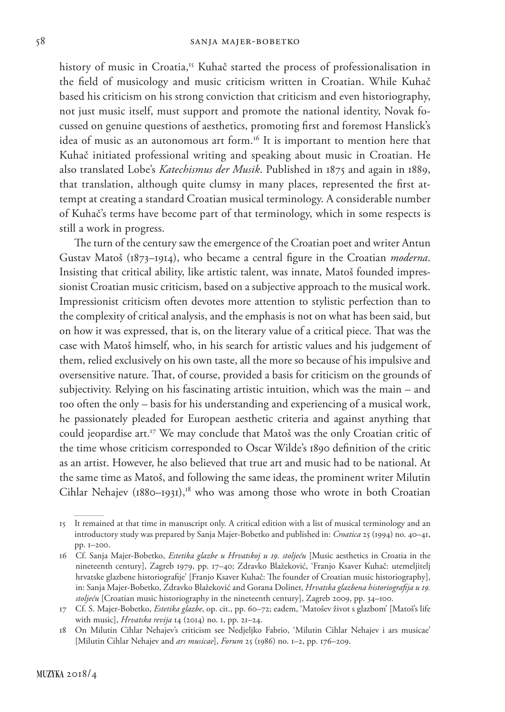history of music in Croatia,<sup>15</sup> Kuhač started the process of professionalisation in the field of musicology and music criticism written in Croatian. While Kuhač based his criticism on his strong conviction that criticism and even historiography, not just music itself, must support and promote the national identity, Novak focussed on genuine questions of aesthetics, promoting first and foremost Hanslick's idea of music as an autonomous art form.<sup>16</sup> It is important to mention here that Kuhač initiated professional writing and speaking about music in Croatian. He also translated Lobe's *Katechismus der Musik*. Published in 1875 and again in 1889, that translation, although quite clumsy in many places, represented the first attempt at creating a standard Croatian musical terminology. A considerable number of Kuhač's terms have become part of that terminology, which in some respects is still a work in progress.

The turn of the century saw the emergence of the Croatian poet and writer Antun Gustav Matoš (1873–1914), who became a central figure in the Croatian *moderna*. Insisting that critical ability, like artistic talent, was innate, Matoš founded impressionist Croatian music criticism, based on a subjective approach to the musical work. Impressionist criticism often devotes more attention to stylistic perfection than to the complexity of critical analysis, and the emphasis is not on what has been said, but on how it was expressed, that is, on the literary value of a critical piece. That was the case with Matoš himself, who, in his search for artistic values and his judgement of them, relied exclusively on his own taste, all the more so because of his impulsive and oversensitive nature. That, of course, provided a basis for criticism on the grounds of subjectivity. Relying on his fascinating artistic intuition, which was the main – and too often the only – basis for his understanding and experiencing of a musical work, he passionately pleaded for European aesthetic criteria and against anything that could jeopardise art.<sup>17</sup> We may conclude that Matoš was the only Croatian critic of the time whose criticism corresponded to Oscar Wilde's 1890 definition of the critic as an artist. However, he also believed that true art and music had to be national. At the same time as Matoš, and following the same ideas, the prominent writer Milutin Cihlar Nehajev (1880–1931),<sup>18</sup> who was among those who wrote in both Croatian

<sup>15</sup> It remained at that time in manuscript only. A critical edition with a list of musical terminology and an introductory study was prepared by Sanja Majer-Bobetko and published in: *Croatica* 25 (1994) no. 40–41, pp. 1–200.

<sup>16</sup> Cf. Sanja Majer-Bobetko, *Estetika glazbe u Hrvatskoj u 19. stoljeću* [Music aesthetics in Croatia in the nineteenth century], Zagreb 1979, pp. 17–40; Zdravko Blažeković, 'Franjo Ksaver Kuhač: utemeljitelj hrvatske glazbene historiografije' [Franjo Ksaver Kuhač: The founder of Croatian music historiography], in: Sanja Majer-Bobetko, Zdravko Blažeković and Gorana Doliner, *Hrvatska glazbena historiografija u 19. stoljeću* [Croatian music historiography in the nineteenth century], Zagreb 2009, pp. 34–100.

<sup>17</sup> Cf. S. Majer-Bobetko, *Estetika glazbe*, op. cit., pp. 60–72; eadem, 'Matošev život s glazbom' [Matoš's life with music], *Hrvatska revija* 14 (2014) no. 1, pp. 21–24.

<sup>18</sup> On Milutin Cihlar Nehajev's criticism see Nedjeljko Fabrio, 'Milutin Cihlar Nehajev i ars musicae' [Milutin Cihlar Nehajev and *ars musicae*], *Forum* 25 (1986) no. 1–2, pp. 176–209.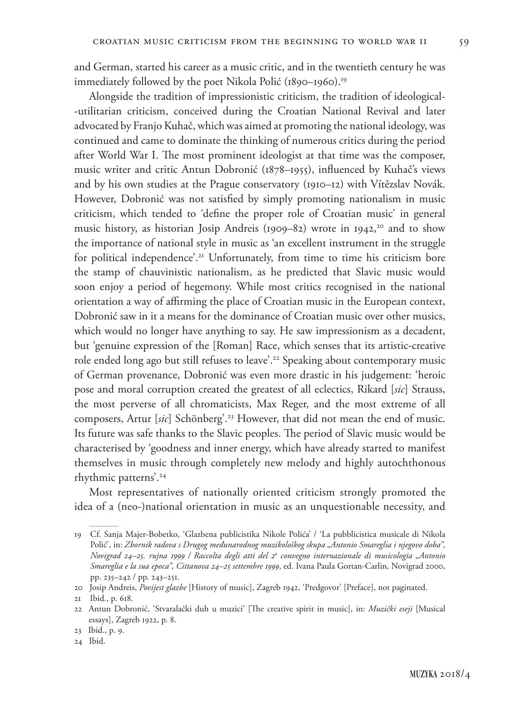and German, started his career as a music critic, and in the twentieth century he was immediately followed by the poet Nikola Polić (1890–1960).<sup>19</sup>

Alongside the tradition of impressionistic criticism, the tradition of ideological- -utilitarian criticism, conceived during the Croatian National Revival and later advocated by Franjo Kuhač, which was aimed at promoting the national ideology, was continued and came to dominate the thinking of numerous critics during the period after World War I. The most prominent ideologist at that time was the composer, music writer and critic Antun Dobronić (1878–1955), influenced by Kuhač's views and by his own studies at the Prague conservatory (1910–12) with Vítězslav Novák. However, Dobronić was not satisfied by simply promoting nationalism in music criticism, which tended to 'define the proper role of Croatian music' in general music history, as historian Josip Andreis (1909–82) wrote in 1942,<sup>20</sup> and to show the importance of national style in music as 'an excellent instrument in the struggle for political independence'.<sup>21</sup> Unfortunately, from time to time his criticism bore the stamp of chauvinistic nationalism, as he predicted that Slavic music would soon enjoy a period of hegemony. While most critics recognised in the national orientation a way of affirming the place of Croatian music in the European context, Dobronić saw in it a means for the dominance of Croatian music over other musics, which would no longer have anything to say. He saw impressionism as a decadent, but 'genuine expression of the [Roman] Race, which senses that its artistic-creative role ended long ago but still refuses to leave'.22 Speaking about contemporary music of German provenance, Dobronić was even more drastic in his judgement: 'heroic pose and moral corruption created the greatest of all eclectics, Rikard [*sic*] Strauss, the most perverse of all chromaticists, Max Reger, and the most extreme of all composers, Artur [*sic*] Schönberg'.23 However, that did not mean the end of music. Its future was safe thanks to the Slavic peoples. The period of Slavic music would be characterised by 'goodness and inner energy, which have already started to manifest themselves in music through completely new melody and highly autochthonous rhythmic patterns'.24

Most representatives of nationally oriented criticism strongly promoted the idea of a (neo-)national orientation in music as an unquestionable necessity, and

<sup>19</sup> Cf. Sanja Majer-Bobetko, 'Glazbena publicistika Nikole Polića' / 'La pubblicistica musicale di Nikola Polić', in: *Zbornik radova s Drugog međunarodnog muzikološkog skupa "Antonio Smareglia i njegovo doba", Novigrad 24–25. rujna 1999 / Raccolta degli atti del 2o convegno internazionale di musicologia "Antonio Smareglia e la sua epoca", Cittanova 24–25 settembre 1999*, ed. Ivana Paula Gortan-Carlin, Novigrad 2000, pp. 235–242 / pp. 243–251.

<sup>20</sup> Josip Andreis, *Povijest glazbe* [History of music], Zagreb 1942, 'Predgovor' [Preface], not paginated.

<sup>21</sup> Ibid*.*, p. 618.

<sup>22</sup> Antun Dobronić, 'Stvaralački duh u muzici' [The creative spirit in music], in: *Muzički eseji* [Musical essays], Zagreb 1922, p. 8.

<sup>23</sup> Ibid., p. 9.

<sup>24</sup> Ibid.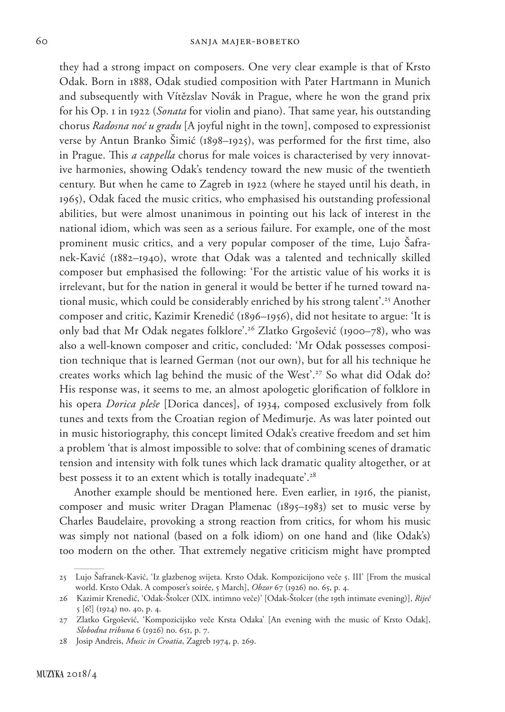they had a strong impact on composers. One very clear example is that of Krsto Odak. Born in 1888, Odak studied composition with Pater Hartmann in Munich and subsequently with Vítězslav Novák in Prague, where he won the grand prix for his Op. 1 in 1922 (*Sonata* for violin and piano). That same year, his outstanding chorus *Radosna noć u gradu* [A joyful night in the town], composed to expressionist verse by Antun Branko Šimić (1898–1925), was performed for the first time, also in Prague. This *a cappella* chorus for male voices is characterised by very innovative harmonies, showing Odak's tendency toward the new music of the twentieth century. But when he came to Zagreb in 1922 (where he stayed until his death, in 1965), Odak faced the music critics, who emphasised his outstanding professional abilities, but were almost unanimous in pointing out his lack of interest in the national idiom, which was seen as a serious failure. For example, one of the most prominent music critics, and a very popular composer of the time, Lujo Šafranek-Kavić (1882–1940), wrote that Odak was a talented and technically skilled composer but emphasised the following: 'For the artistic value of his works it is irrelevant, but for the nation in general it would be better if he turned toward national music, which could be considerably enriched by his strong talent'.<sup>25</sup> Another composer and critic, Kazimir Krenedić (1896–1956), did not hesitate to argue: 'It is only bad that Mr Odak negates folklore'.26 Zlatko Grgošević (1900–78), who was also a well-known composer and critic, concluded: 'Mr Odak possesses composition technique that is learned German (not our own), but for all his technique he creates works which lag behind the music of the West'.<sup>27</sup> So what did Odak do? His response was, it seems to me, an almost apologetic glorification of folklore in his opera *Dorica pleše* [Dorica dances], of 1934, composed exclusively from folk tunes and texts from the Croatian region of Međimurje. As was later pointed out in music historiography, this concept limited Odak's creative freedom and set him a problem 'that is almost impossible to solve: that of combining scenes of dramatic tension and intensity with folk tunes which lack dramatic quality altogether, or at best possess it to an extent which is totally inadequate'.<sup>28</sup>

Another example should be mentioned here. Even earlier, in 1916, the pianist, composer and music writer Dragan Plamenac (1895–1983) set to music verse by Charles Baudelaire, provoking a strong reaction from critics, for whom his music was simply not national (based on a folk idiom) on one hand and (like Odak's) too modern on the other. That extremely negative criticism might have prompted

<sup>25</sup> Lujo Šafranek-Kavić, 'Iz glazbenog svijeta. Krsto Odak. Kompozicijono veče 5. III' [From the musical world. Krsto Odak. A composer's soirée, 5 March], *Obzor* 67 (1926) no. 65, p. 4.

<sup>26</sup> Kazimir Krenedić, 'Odak-Štolcer (XIX. intimno veče)' [Odak-Štolcer (the 19th intimate evening)], *Riječ* 5 [6!] (1924) no. 40, p. 4.

<sup>27</sup> Zlatko Grgošević, 'Kompozicijsko veče Krsta Odaka' [An evening with the music of Krsto Odak], *Slobodna tribuna* 6 (1926) no. 651, p. 7.

<sup>28</sup> Josip Andreis, *Music in Croatia*, Zagreb 1974, p. 269.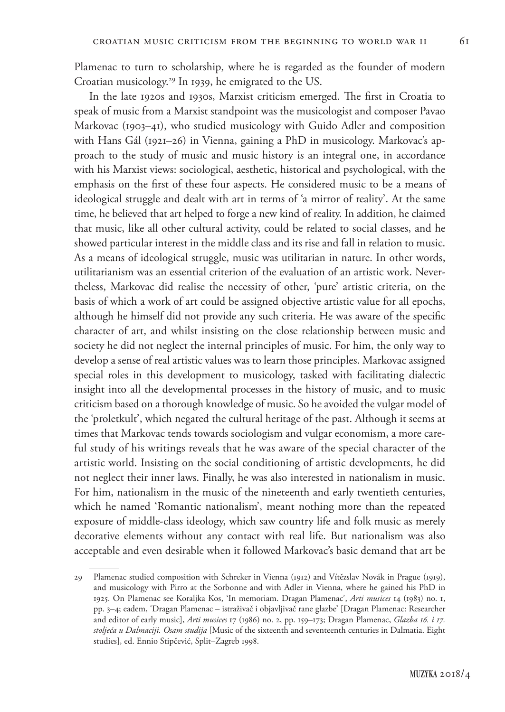Plamenac to turn to scholarship, where he is regarded as the founder of modern Croatian musicology.29 In 1939, he emigrated to the US.

In the late 1920s and 1930s, Marxist criticism emerged. The first in Croatia to speak of music from a Marxist standpoint was the musicologist and composer Pavao Markovac (1903–41), who studied musicology with Guido Adler and composition with Hans Gál (1921–26) in Vienna, gaining a PhD in musicology. Markovac's approach to the study of music and music history is an integral one, in accordance with his Marxist views: sociological, aesthetic, historical and psychological, with the emphasis on the first of these four aspects. He considered music to be a means of ideological struggle and dealt with art in terms of 'a mirror of reality'. At the same time, he believed that art helped to forge a new kind of reality. In addition, he claimed that music, like all other cultural activity, could be related to social classes, and he showed particular interest in the middle class and its rise and fall in relation to music. As a means of ideological struggle, music was utilitarian in nature. In other words, utilitarianism was an essential criterion of the evaluation of an artistic work. Nevertheless, Markovac did realise the necessity of other, 'pure' artistic criteria, on the basis of which a work of art could be assigned objective artistic value for all epochs, although he himself did not provide any such criteria. He was aware of the specific character of art, and whilst insisting on the close relationship between music and society he did not neglect the internal principles of music. For him, the only way to develop a sense of real artistic values was to learn those principles. Markovac assigned special roles in this development to musicology, tasked with facilitating dialectic insight into all the developmental processes in the history of music, and to music criticism based on a thorough knowledge of music. So he avoided the vulgar model of the 'proletkult', which negated the cultural heritage of the past. Although it seems at times that Markovac tends towards sociologism and vulgar economism, a more careful study of his writings reveals that he was aware of the special character of the artistic world. Insisting on the social conditioning of artistic developments, he did not neglect their inner laws. Finally, he was also interested in nationalism in music. For him, nationalism in the music of the nineteenth and early twentieth centuries, which he named 'Romantic nationalism', meant nothing more than the repeated exposure of middle-class ideology, which saw country life and folk music as merely decorative elements without any contact with real life. But nationalism was also acceptable and even desirable when it followed Markovac's basic demand that art be

<sup>29</sup> Plamenac studied composition with Schreker in Vienna (1912) and Vítězslav Novák in Prague (1919), and musicology with Pirro at the Sorbonne and with Adler in Vienna, where he gained his PhD in 1925. On Plamenac see Koraljka Kos, 'In memoriam. Dragan Plamenac', *Arti musices* 14 (1983) no. 1, pp. 3–4; eadem, 'Dragan Plamenac – istraživač i objavljivač rane glazbe' [Dragan Plamenac: Researcher and editor of early music], *Arti musices* 17 (1986) no. 2, pp. 159–173; Dragan Plamenac, *Glazba 16. i 17. stoljeća u Dalmaciji. Osam studija* [Music of the sixteenth and seventeenth centuries in Dalmatia. Eight studies], ed. Ennio Stipčević, Split–Zagreb 1998.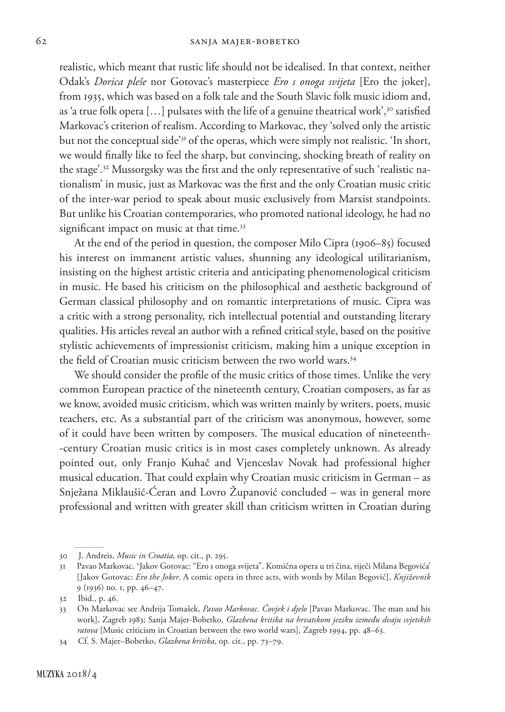realistic, which meant that rustic life should not be idealised. In that context, neither Odak's *Dorica pleše* nor Gotovac's masterpiece *Ero s onoga svijeta* [Ero the joker], from 1935, which was based on a folk tale and the South Slavic folk music idiom and, as 'a true folk opera [...] pulsates with the life of a genuine theatrical work',<sup>30</sup> satisfied Markovac's criterion of realism. According to Markovac, they 'solved only the artistic but not the conceptual side'31 of the operas, which were simply not realistic. 'In short, we would finally like to feel the sharp, but convincing, shocking breath of reality on the stage'.<sup>32</sup> Mussorgsky was the first and the only representative of such 'realistic nationalism' in music, just as Markovac was the first and the only Croatian music critic of the inter-war period to speak about music exclusively from Marxist standpoints. But unlike his Croatian contemporaries, who promoted national ideology, he had no significant impact on music at that time.<sup>33</sup>

At the end of the period in question, the composer Milo Cipra (1906–85) focused his interest on immanent artistic values, shunning any ideological utilitarianism, insisting on the highest artistic criteria and anticipating phenomenological criticism in music. He based his criticism on the philosophical and aesthetic background of German classical philosophy and on romantic interpretations of music. Cipra was a critic with a strong personality, rich intellectual potential and outstanding literary qualities. His articles reveal an author with a refined critical style, based on the positive stylistic achievements of impressionist criticism, making him a unique exception in the field of Croatian music criticism between the two world wars.<sup>34</sup>

We should consider the profile of the music critics of those times. Unlike the very common European practice of the nineteenth century, Croatian composers, as far as we know, avoided music criticism, which was written mainly by writers, poets, music teachers, etc. As a substantial part of the criticism was anonymous, however, some of it could have been written by composers. The musical education of nineteenth- -century Croatian music critics is in most cases completely unknown. As already pointed out, only Franjo Kuhač and Vjenceslav Novak had professional higher musical education. That could explain why Croatian music criticism in German – as Snježana Miklaušić-Ćeran and Lovro Županović concluded – was in general more professional and written with greater skill than criticism written in Croatian during

<sup>30</sup> J. Andreis, *Music in Croatia,* op. cit., p. 295.

<sup>31</sup> Pavao Markovac, ʻJakov Gotovac: "Ero s onoga svijeta". Komična opera u tri čina, riječi Milana Begovića' [Jakov Gotovac: *Ero the Joker*. A comic opera in three acts, with words by Milan Begović], *Književnik* 9 (1936) no. 1, pp. 46–47.

<sup>32</sup> Ibid., p. 46.

<sup>33</sup> On Markovac see Andrija Tomašek, *Pavao Markovac. Čovjek i djelo* [Pavao Markovac. The man and his work], Zagreb 1983; Sanja Majer-Bobetko, *Glazbena kritika na hrvatskom jeziku između dvaju svjetskih ratova* [Music criticism in Croatian between the two world wars], Zagreb 1994, pp. 48–63.

<sup>34</sup> Cf. S. Majer–Bobetko, *Glazbena kritika*, op. cit., pp. 73–79.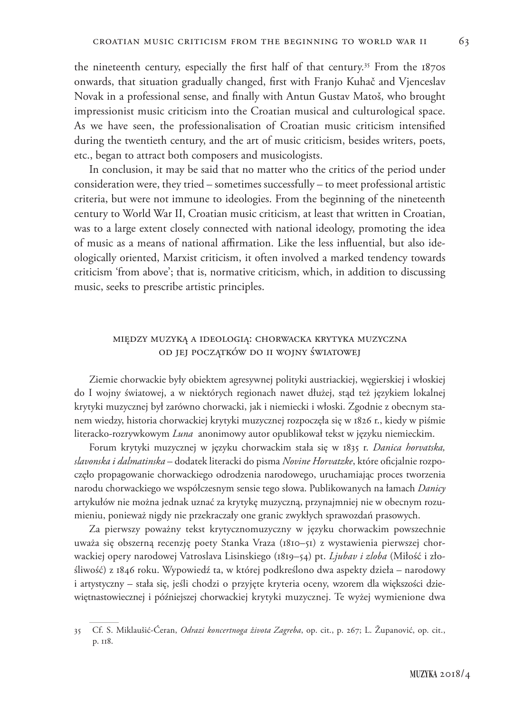the nineteenth century, especially the first half of that century.<sup>35</sup> From the  $187$ os onwards, that situation gradually changed, first with Franjo Kuhač and Vjenceslav Novak in a professional sense, and finally with Antun Gustav Matoš, who brought impressionist music criticism into the Croatian musical and culturological space. As we have seen, the professionalisation of Croatian music criticism intensified during the twentieth century, and the art of music criticism, besides writers, poets, etc., began to attract both composers and musicologists.

In conclusion, it may be said that no matter who the critics of the period under consideration were, they tried – sometimes successfully – to meet professional artistic criteria, but were not immune to ideologies. From the beginning of the nineteenth century to World War II, Croatian music criticism, at least that written in Croatian, was to a large extent closely connected with national ideology, promoting the idea of music as a means of national affirmation. Like the less influential, but also ideologically oriented, Marxist criticism, it often involved a marked tendency towards criticism 'from above'; that is, normative criticism, which, in addition to discussing music, seeks to prescribe artistic principles.

## między muzyką a ideologią: chorwacka krytyka muzyczna od jej początków do ii wojny światowej

Ziemie chorwackie były obiektem agresywnej polityki austriackiej, węgierskiej i włoskiej do I wojny światowej, a w niektórych regionach nawet dłużej, stąd też językiem lokalnej krytyki muzycznej był zarówno chorwacki, jak i niemiecki i włoski. Zgodnie z obecnym stanem wiedzy, historia chorwackiej krytyki muzycznej rozpoczęła się w 1826 r., kiedy w piśmie literacko-rozrywkowym *Luna* anonimowy autor opublikował tekst w języku niemieckim.

Forum krytyki muzycznej w języku chorwackim stała się w 1835 r. *Danica horvatska, slavonska i dalmatinska* – dodatek literacki do pisma *Novine Horvatzke*, które oficjalnie rozpoczęło propagowanie chorwackiego odrodzenia narodowego, uruchamiając proces tworzenia narodu chorwackiego we współczesnym sensie tego słowa. Publikowanych na łamach *Danicy* artykułów nie można jednak uznać za krytykę muzyczną, przynajmniej nie w obecnym rozumieniu, ponieważ nigdy nie przekraczały one granic zwykłych sprawozdań prasowych.

Za pierwszy poważny tekst krytycznomuzyczny w języku chorwackim powszechnie uważa się obszerną recenzję poety Stanka Vraza (1810–51) z wystawienia pierwszej chorwackiej opery narodowej Vatroslava Lisinskiego (1819–54) pt. *Ljubav i zloba* (Miłość i złośliwość) z 1846 roku. Wypowiedź ta, w której podkreślono dwa aspekty dzieła – narodowy i artystyczny – stała się, jeśli chodzi o przyjęte kryteria oceny, wzorem dla większości dziewiętnastowiecznej i późniejszej chorwackiej krytyki muzycznej. Te wyżej wymienione dwa

<sup>35</sup> Cf. S. Miklaušić-Ćeran, *Odrazi koncertnoga života Zagreba*, op. cit., p. 267; L. Županović, op. cit., p. 118.